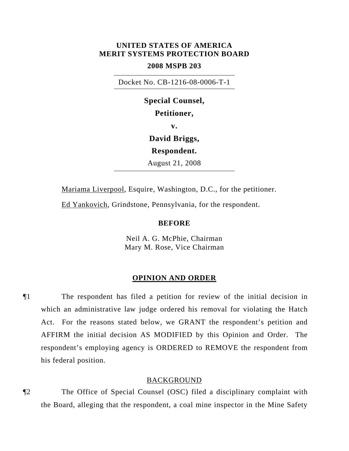# **UNITED STATES OF AMERICA MERIT SYSTEMS PROTECTION BOARD**

## **2008 MSPB 203**

Docket No. CB-1216-08-0006-T-1

**Special Counsel, Petitioner, v. David Briggs, Respondent.**  August 21, 2008

Mariama Liverpool, Esquire, Washington, D.C., for the petitioner.

Ed Yankovich, Grindstone, Pennsylvania, for the respondent.

### **BEFORE**

Neil A. G. McPhie, Chairman Mary M. Rose, Vice Chairman

#### **OPINION AND ORDER**

¶1 The respondent has filed a petition for review of the initial decision in which an administrative law judge ordered his removal for violating the Hatch Act. For the reasons stated below, we GRANT the respondent's petition and AFFIRM the initial decision AS MODIFIED by this Opinion and Order. The respondent's employing agency is ORDERED to REMOVE the respondent from his federal position.

### BACKGROUND

¶2 The Office of Special Counsel (OSC) filed a disciplinary complaint with the Board, alleging that the respondent, a coal mine inspector in the Mine Safety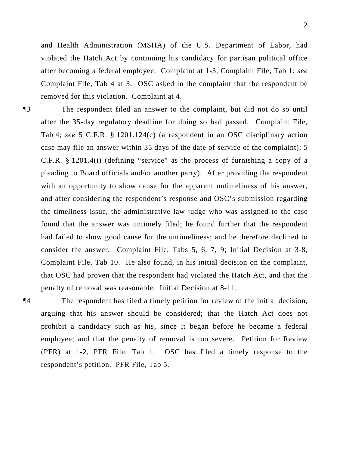and Health Administration (MSHA) of the U.S. Department of Labor, had violated the Hatch Act by continuing his candidacy for partisan political office after becoming a federal employee. Complaint at 1-3, Complaint File, Tab 1; *see* Complaint File, Tab 4 at 3. OSC asked in the complaint that the respondent be removed for this violation. Complaint at 4.

¶3 The respondent filed an answer to the complaint, but did not do so until after the 35-day regulatory deadline for doing so had passed. Complaint File, Tab 4; *see* 5 C.F.R. § 1201.124(c) (a respondent in an OSC disciplinary action case may file an answer within 35 days of the date of service of the complaint); 5 C.F.R. § 1201.4(i) (defining "service" as the process of furnishing a copy of a pleading to Board officials and/or another party). After providing the respondent with an opportunity to show cause for the apparent untimeliness of his answer, and after considering the respondent's response and OSC's submission regarding the timeliness issue, the administrative law judge who was assigned to the case found that the answer was untimely filed; he found further that the respondent had failed to show good cause for the untimeliness; and he therefore declined to consider the answer. Complaint File, Tabs 5, 6, 7, 9; Initial Decision at 3-8, Complaint File, Tab 10. He also found, in his initial decision on the complaint, that OSC had proven that the respondent had violated the Hatch Act, and that the penalty of removal was reasonable. Initial Decision at 8-11.

¶4 The respondent has filed a timely petition for review of the initial decision, arguing that his answer should be considered; that the Hatch Act does not prohibit a candidacy such as his, since it began before he became a federal employee; and that the penalty of removal is too severe. Petition for Review (PFR) at 1-2, PFR File, Tab 1. OSC has filed a timely response to the respondent's petition. PFR File, Tab 5.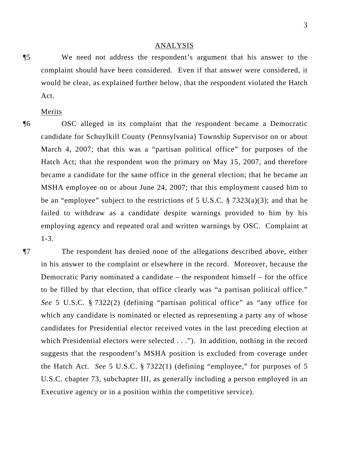#### ANALYSIS

¶5 We need not address the respondent's argument that his answer to the complaint should have been considered. Even if that answer were considered, it would be clear, as explained further below, that the respondent violated the Hatch Act.

Merits

¶6 OSC alleged in its complaint that the respondent became a Democratic candidate for Schuylkill County (Pennsylvania) Township Supervisor on or about March 4, 2007; that this was a "partisan political office" for purposes of the Hatch Act; that the respondent won the primary on May 15, 2007, and therefore became a candidate for the same office in the general election; that he became an MSHA employee on or about June 24, 2007; that this employment caused him to be an "employee" subject to the restrictions of 5 U.S.C. § 7323(a)(3); and that he failed to withdraw as a candidate despite warnings provided to him by his employing agency and repeated oral and written warnings by OSC. Complaint at 1-3.

¶7 The respondent has denied none of the allegations described above, either in his answer to the complaint or elsewhere in the record. Moreover, because the Democratic Party nominated a candidate – the respondent himself – for the office to be filled by that election, that office clearly was "a partisan political office." *See* 5 U.S.C. § 7322(2) (defining "partisan political office" as "any office for which any candidate is nominated or elected as representing a party any of whose candidates for Presidential elector received votes in the last preceding election at which Presidential electors were selected . . ."). In addition, nothing in the record suggests that the respondent's MSHA position is excluded from coverage under the Hatch Act. *See* 5 U.S.C. § 7322(1) (defining "employee," for purposes of 5 U.S.C. chapter 73, subchapter III, as generally including a person employed in an Executive agency or in a position within the competitive service).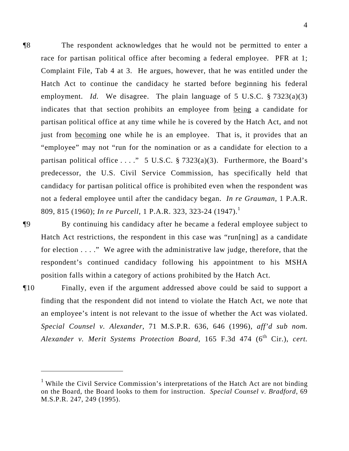¶8 The respondent acknowledges that he would not be permitted to enter a race for partisan political office after becoming a federal employee. PFR at 1; Complaint File, Tab 4 at 3. He argues, however, that he was entitled under the Hatch Act to continue the candidacy he started before beginning his federal employment. *Id.* We disagree. The plain language of 5 U.S.C. § 7323(a)(3) indicates that that section prohibits an employee from being a candidate for partisan political office at any time while he is covered by the Hatch Act, and not just from becoming one while he is an employee. That is, it provides that an "employee" may not "run for the nomination or as a candidate for election to a partisan political office . . . ." 5 U.S.C.  $\S$  7323(a)(3). Furthermore, the Board's predecessor, the U.S. Civil Service Commission, has specifically held that candidacy for partisan political office is prohibited even when the respondent was not a federal employee until after the candidacy began. *In re Grauman*, 1 P.A.R. 809, 815 (1960); *In re Purcell*, 1 P.A.R. 323, 323-24 (1947).<sup>1</sup>

¶9 By continuing his candidacy after he became a federal employee subject to Hatch Act restrictions, the respondent in this case was "run[ning] as a candidate for election . . . ." We agree with the administrative law judge, therefore, that the respondent's continued candidacy following his appointment to his MSHA position falls within a category of actions prohibited by the Hatch Act.

¶10 Finally, even if the argument addressed above could be said to support a finding that the respondent did not intend to violate the Hatch Act, we note that an employee's intent is not relevant to the issue of whether the Act was violated. *Special Counsel v. Alexander*, 71 M.S.P.R. 636, 646 (1996), *aff'd sub nom. Alexander v. Merit Systems Protection Board*, 165 F.3d 474 (6<sup>th</sup> Cir.), *cert.* 

<sup>&</sup>lt;sup>1</sup> While the Civil Service Commission's interpretations of the Hatch Act are not binding on the Board, the Board looks to them for instruction. *Special Counsel v. Bradford*, 69 M.S.P.R. 247, 249 (1995).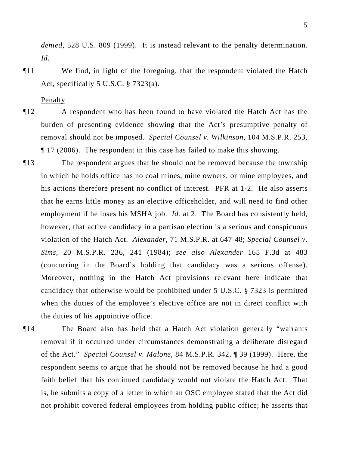*denied*, 528 U.S. 809 (1999). It is instead relevant to the penalty determination. *Id.*

¶11 We find, in light of the foregoing, that the respondent violated the Hatch Act, specifically 5 U.S.C. § 7323(a).

**Penalty** 

- ¶12 A respondent who has been found to have violated the Hatch Act has the burden of presenting evidence showing that the Act's presumptive penalty of removal should not be imposed. *Special Counsel v. Wilkinson*, 104 M.S.P.R. 253, ¶ 17 (2006). The respondent in this case has failed to make this showing.
- ¶13 The respondent argues that he should not be removed because the township in which he holds office has no coal mines, mine owners, or mine employees, and his actions therefore present no conflict of interest. PFR at 1-2. He also asserts that he earns little money as an elective officeholder, and will need to find other employment if he loses his MSHA job. *Id.* at 2. The Board has consistently held, however, that active candidacy in a partisan election is a serious and conspicuous violation of the Hatch Act. *Alexander*, 71 M.S.P.R. at 647-48; *Special Counsel v. Sims*, 20 M.S.P.R. 236, 241 (1984); *see also Alexander* 165 F.3d at 483 (concurring in the Board's holding that candidacy was a serious offense). Moreover, nothing in the Hatch Act provisions relevant here indicate that candidacy that otherwise would be prohibited under 5 U.S.C. § 7323 is permitted when the duties of the employee's elective office are not in direct conflict with the duties of his appointive office.
- ¶14 The Board also has held that a Hatch Act violation generally "warrants removal if it occurred under circumstances demonstrating a deliberate disregard of the Act." *Special Counsel v. Malone*, 84 M.S.P.R. 342, ¶ 39 (1999). Here, the respondent seems to argue that he should not be removed because he had a good faith belief that his continued candidacy would not violate the Hatch Act. That is, he submits a copy of a letter in which an OSC employee stated that the Act did not prohibit covered federal employees from holding public office; he asserts that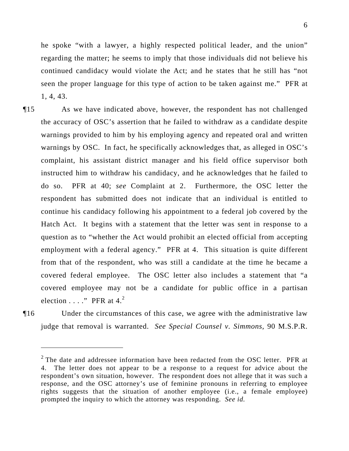6

he spoke "with a lawyer, a highly respected political leader, and the union" regarding the matter; he seems to imply that those individuals did not believe his continued candidacy would violate the Act; and he states that he still has "not seen the proper language for this type of action to be taken against me." PFR at 1, 4, 43.

- ¶15 As we have indicated above, however, the respondent has not challenged the accuracy of OSC's assertion that he failed to withdraw as a candidate despite warnings provided to him by his employing agency and repeated oral and written warnings by OSC. In fact, he specifically acknowledges that, as alleged in OSC's complaint, his assistant district manager and his field office supervisor both instructed him to withdraw his candidacy, and he acknowledges that he failed to do so. PFR at 40; *see* Complaint at 2. Furthermore, the OSC letter the respondent has submitted does not indicate that an individual is entitled to continue his candidacy following his appointment to a federal job covered by the Hatch Act. It begins with a statement that the letter was sent in response to a question as to "whether the Act would prohibit an elected official from accepting employment with a federal agency." PFR at 4. This situation is quite different from that of the respondent, who was still a candidate at the time he became a covered federal employee. The OSC letter also includes a statement that "a covered employee may not be a candidate for public office in a partisan election  $\dots$ ." PFR at 4.<sup>2</sup>
- 

 $\overline{a}$ 

¶16 Under the circumstances of this case, we agree with the administrative law judge that removal is warranted. *See Special Counsel v. Simmons,* 90 M.S.P.R.

 $2$  The date and addressee information have been redacted from the OSC letter. PFR at 4. The letter does not appear to be a response to a request for advice about the respondent's own situation, however. The respondent does not allege that it was such a response, and the OSC attorney's use of feminine pronouns in referring to employee rights suggests that the situation of another employee (i.e., a female employee) prompted the inquiry to which the attorney was responding. *See id.*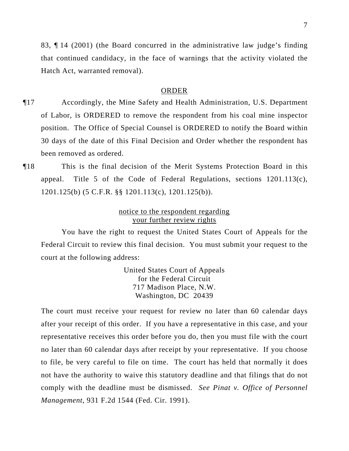83, ¶ 14 (2001) (the Board concurred in the administrative law judge's finding that continued candidacy, in the face of warnings that the activity violated the Hatch Act, warranted removal).

### ORDER

- ¶17 Accordingly, the Mine Safety and Health Administration, U.S. Department of Labor, is ORDERED to remove the respondent from his coal mine inspector position. The Office of Special Counsel is ORDERED to notify the Board within 30 days of the date of this Final Decision and Order whether the respondent has been removed as ordered.
- ¶18 This is the final decision of the Merit Systems Protection Board in this appeal. Title 5 of the Code of Federal Regulations, sections 1201.113(c), 1201.125(b) (5 C.F.R. §§ 1201.113(c), 1201.125(b)).

## notice to the respondent regarding your further review rights

You have the right to request the United States Court of Appeals for the Federal Circuit to review this final decision. You must submit your request to the court at the following address:

> United States Court of Appeals for the Federal Circuit 717 Madison Place, N.W. Washington, DC 20439

The court must receive your request for review no later than 60 calendar days after your receipt of this order. If you have a representative in this case, and your representative receives this order before you do, then you must file with the court no later than 60 calendar days after receipt by your representative. If you choose to file, be very careful to file on time. The court has held that normally it does not have the authority to waive this statutory deadline and that filings that do not comply with the deadline must be dismissed. *See Pinat v. Office of Personnel Management*, 931 F.2d 1544 (Fed. Cir. 1991).